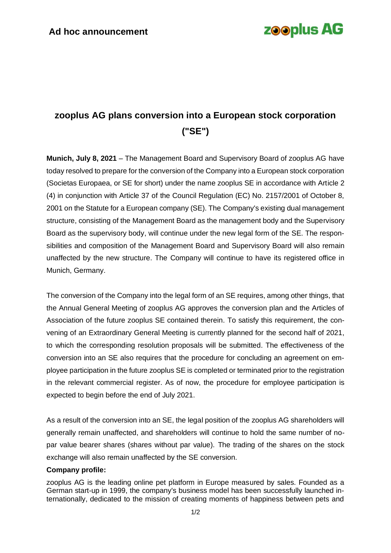## **zooplus AG**

## **zooplus AG plans conversion into a European stock corporation ("SE")**

**Munich, July 8, 2021** – The Management Board and Supervisory Board of zooplus AG have today resolved to prepare for the conversion of the Company into a European stock corporation (Societas Europaea, or SE for short) under the name zooplus SE in accordance with Article 2 (4) in conjunction with Article 37 of the Council Regulation (EC) No. 2157/2001 of October 8, 2001 on the Statute for a European company (SE). The Company's existing dual management structure, consisting of the Management Board as the management body and the Supervisory Board as the supervisory body, will continue under the new legal form of the SE. The responsibilities and composition of the Management Board and Supervisory Board will also remain unaffected by the new structure. The Company will continue to have its registered office in Munich, Germany.

The conversion of the Company into the legal form of an SE requires, among other things, that the Annual General Meeting of zooplus AG approves the conversion plan and the Articles of Association of the future zooplus SE contained therein. To satisfy this requirement, the convening of an Extraordinary General Meeting is currently planned for the second half of 2021, to which the corresponding resolution proposals will be submitted. The effectiveness of the conversion into an SE also requires that the procedure for concluding an agreement on employee participation in the future zooplus SE is completed or terminated prior to the registration in the relevant commercial register. As of now, the procedure for employee participation is expected to begin before the end of July 2021.

As a result of the conversion into an SE, the legal position of the zooplus AG shareholders will generally remain unaffected, and shareholders will continue to hold the same number of nopar value bearer shares (shares without par value). The trading of the shares on the stock exchange will also remain unaffected by the SE conversion.

## **Company profile:**

zooplus AG is the leading online pet platform in Europe measured by sales. Founded as a German start-up in 1999, the company's business model has been successfully launched internationally, dedicated to the mission of creating moments of happiness between pets and